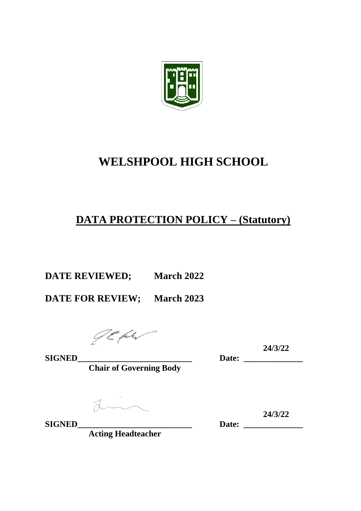

# **WELSHPOOL HIGH SCHOOL**

## **DATA PROTECTION POLICY – (Statutory)**

**DATE REVIEWED; March 2022**

**DATE FOR REVIEW; March 2023**

**24/3/22 SIGNED\_\_\_\_\_\_\_\_\_\_\_\_\_\_\_\_\_\_\_\_\_\_\_\_\_\_\_ Date: \_\_\_\_\_\_\_\_\_\_\_\_\_\_**

**Chair of Governing Body**

 $\frac{1}{\sqrt{2}}$ 

**Acting Headteacher**

Date: 24/3/22 **SIGNED\_\_\_\_\_\_\_\_\_\_\_\_\_\_\_\_\_\_\_\_\_\_\_\_\_\_\_ Date: \_\_\_\_\_\_\_\_\_\_\_\_\_\_**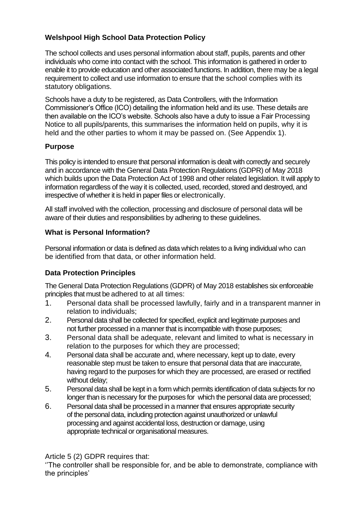## **Welshpool High School Data Protection Policy**

The school collects and uses personal information about staff, pupils, parents and other individuals who come into contact with the school. This information is gathered in order to enable it to provide education and other associated functions. In addition, there may be a legal requirement to collect and use information to ensure that the school complies with its statutory obligations.

Schools have a duty to be registered, as Data Controllers, with the Information Commissioner's Office (ICO) detailing the information held and its use. These details are then available on the ICO's website. Schools also have a duty to issue a Fair Processing Notice to all pupils/parents, this summarises the information held on pupils, why it is held and the other parties to whom it may be passed on. (See Appendix 1).

#### **Purpose**

This policy is intended to ensure that personal information is dealt with correctly and securely and in accordance with the General Data Protection Regulations (GDPR) of May 2018 which builds upon the Data Protection Act of 1998 and other related legislation. It will apply to information regardless of the way it is collected, used, recorded, stored and destroyed, and irrespective of whether it is held in paper files or electronically.

All staff involved with the collection, processing and disclosure of personal data will be aware of their duties and responsibilities by adhering to these guidelines.

#### **What is Personal Information?**

Personal information or data is defined as data which relates to a living individual who can be identified from that data, or other information held.

#### **Data Protection Principles**

The General Data Protection Regulations (GDPR) of May 2018 establishes six enforceable principles that must be adhered to at all times:

- 1. Personal data shall be processed lawfully, fairly and in a transparent manner in relation to individuals;
- 2. Personal data shall be collected for specified, explicit and legitimate purposes and not further processed in a manner that is incompatible with those purposes;
- 3. Personal data shall be adequate, relevant and limited to what is necessary in relation to the purposes for which they are processed;
- 4. Personal data shall be accurate and, where necessary, kept up to date, every reasonable step must be taken to ensure that personal data that are inaccurate, having regard to the purposes for which they are processed, are erased or rectified without delay;
- 5. Personal data shall be kept in a form which permits identification of data subjects for no longer than is necessary for the purposes for which the personal data are processed;
- 6. Personal data shall be processed in a manner that ensures appropriate security of the personal data, including protection against unauthorized or unlawful processing and against accidental loss, destruction or damage, using appropriate technical or organisational measures.

Article 5 (2) GDPR requires that:

''The controller shall be responsible for, and be able to demonstrate, compliance with the principles'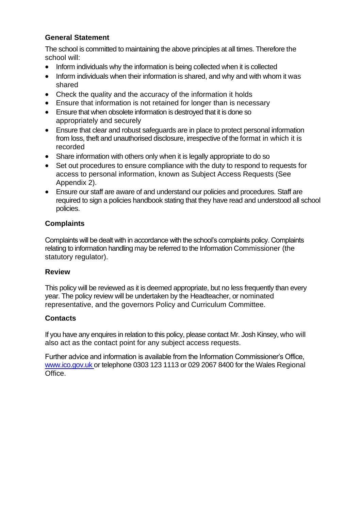## **General Statement**

The school is committed to maintaining the above principles at all times. Therefore the school will:

- Inform individuals why the information is being collected when it is collected
- Inform individuals when their information is shared, and why and with whom it was shared
- Check the quality and the accuracy of the information it holds
- Ensure that information is not retained for longer than is necessary
- Ensure that when obsolete information is destroyed that it is done so appropriately and securely
- Ensure that clear and robust safeguards are in place to protect personal information from loss, theft and unauthorised disclosure, irrespective of the format in which it is recorded
- Share information with others only when it is legally appropriate to do so
- Set out procedures to ensure compliance with the duty to respond to requests for access to personal information, known as Subject Access Requests (See Appendix 2).
- Ensure our staff are aware of and understand our policies and procedures. Staff are required to sign a policies handbook stating that they have read and understood all school policies.

#### **Complaints**

Complaints will be dealt with in accordance with the school's complaints policy. Complaints relating to information handling may be referred to the Information Commissioner (the statutory regulator).

#### **Review**

This policy will be reviewed as it is deemed appropriate, but no less frequently than every year. The policy review will be undertaken by the Headteacher, or nominated representative, and the governors Policy and Curriculum Committee.

#### **Contacts**

If you have any enquires in relation to this policy, please contact Mr. Josh Kinsey, who will also act as the contact point for any subject access requests.

Further advice and information is available from the Information Commissioner's Office, [www.ico.gov.uk](http://www.ico.gov.uk/) or telephone 0303 123 1113 or 029 2067 8400 for the Wales Regional Office.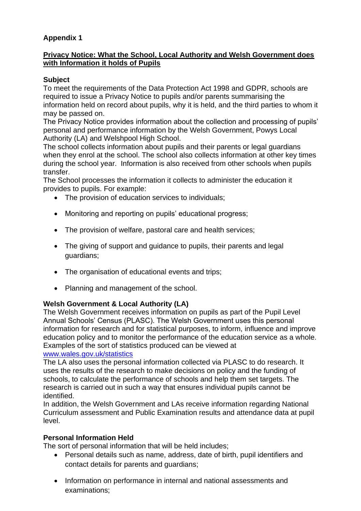## **Appendix 1**

#### **Privacy Notice: What the School, Local Authority and Welsh Government does with Information it holds of Pupils**

## **Subject**

To meet the requirements of the Data Protection Act 1998 and GDPR, schools are required to issue a Privacy Notice to pupils and/or parents summarising the information held on record about pupils, why it is held, and the third parties to whom it may be passed on.

The Privacy Notice provides information about the collection and processing of pupils' personal and performance information by the Welsh Government, Powys Local Authority (LA) and Welshpool High School.

The school collects information about pupils and their parents or legal guardians when they enrol at the school. The school also collects information at other key times during the school year. Information is also received from other schools when pupils transfer.

The School processes the information it collects to administer the education it provides to pupils. For example:

- The provision of education services to individuals;
- Monitoring and reporting on pupils' educational progress;
- The provision of welfare, pastoral care and health services;
- The giving of support and guidance to pupils, their parents and legal guardians;
- The organisation of educational events and trips;
- Planning and management of the school.

#### **Welsh Government & Local Authority (LA)**

The Welsh Government receives information on pupils as part of the Pupil Level Annual Schools' Census (PLASC). The Welsh Government uses this personal information for research and for statistical purposes, to inform, influence and improve education policy and to monitor the performance of the education service as a whole. Examples of the sort of statistics produced can be viewed at [www.wales.gov.uk/statistics](http://www.wales.gov.uk/statistics)

The LA also uses the personal information collected via PLASC to do research. It uses the results of the research to make decisions on policy and the funding of schools, to calculate the performance of schools and help them set targets. The research is carried out in such a way that ensures individual pupils cannot be identified.

In addition, the Welsh Government and LAs receive information regarding National Curriculum assessment and Public Examination results and attendance data at pupil level.

#### **Personal Information Held**

The sort of personal information that will be held includes;

- Personal details such as name, address, date of birth, pupil identifiers and contact details for parents and guardians;
- Information on performance in internal and national assessments and examinations;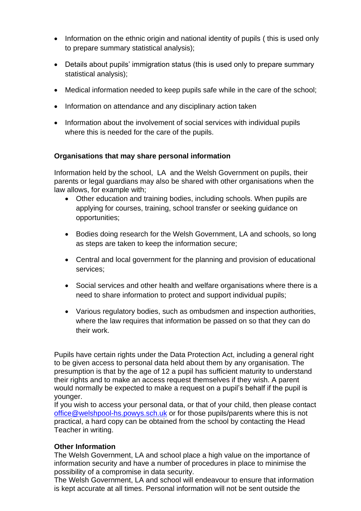- Information on the ethnic origin and national identity of pupils (this is used only to prepare summary statistical analysis);
- Details about pupils' immigration status (this is used only to prepare summary statistical analysis);
- Medical information needed to keep pupils safe while in the care of the school;
- Information on attendance and any disciplinary action taken
- Information about the involvement of social services with individual pupils where this is needed for the care of the pupils.

#### **Organisations that may share personal information**

Information held by the school, LA and the Welsh Government on pupils, their parents or legal guardians may also be shared with other organisations when the law allows, for example with;

- Other education and training bodies, including schools. When pupils are applying for courses, training, school transfer or seeking guidance on opportunities;
- Bodies doing research for the Welsh Government, LA and schools, so long as steps are taken to keep the information secure;
- Central and local government for the planning and provision of educational services;
- Social services and other health and welfare organisations where there is a need to share information to protect and support individual pupils;
- Various regulatory bodies, such as ombudsmen and inspection authorities, where the law requires that information be passed on so that they can do their work.

Pupils have certain rights under the Data Protection Act, including a general right to be given access to personal data held about them by any organisation. The presumption is that by the age of 12 a pupil has sufficient maturity to understand their rights and to make an access request themselves if they wish. A parent would normally be expected to make a request on a pupil's behalf if the pupil is younger.

If you wish to access your personal data, or that of your child, then please contact [office@welshpool-hs.powys.sch.uk](mailto:office@welshpool-hs.powys.sch.uk) or for those pupils/parents where this is not practical, a hard copy can be obtained from the school by contacting the Head Teacher in writing.

#### **Other Information**

The Welsh Government, LA and school place a high value on the importance of information security and have a number of procedures in place to minimise the possibility of a compromise in data security.

The Welsh Government, LA and school will endeavour to ensure that information is kept accurate at all times. Personal information will not be sent outside the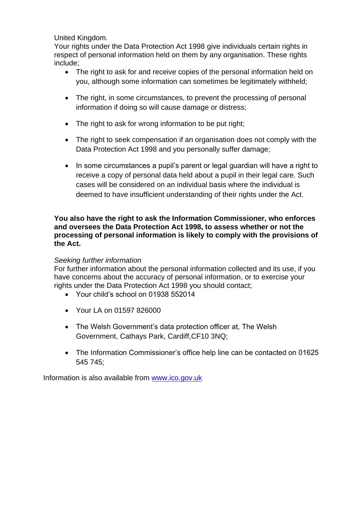United Kingdom.

Your rights under the Data Protection Act 1998 give individuals certain rights in respect of personal information held on them by any organisation. These rights include;

- The right to ask for and receive copies of the personal information held on you, although some information can sometimes be legitimately withheld;
- The right, in some circumstances, to prevent the processing of personal information if doing so will cause damage or distress;
- The right to ask for wrong information to be put right;
- The right to seek compensation if an organisation does not comply with the Data Protection Act 1998 and you personally suffer damage;
- In some circumstances a pupil's parent or legal guardian will have a right to receive a copy of personal data held about a pupil in their legal care. Such cases will be considered on an individual basis where the individual is deemed to have insufficient understanding of their rights under the Act.

#### **You also have the right to ask the Information Commissioner, who enforces and oversees the Data Protection Act 1998, to assess whether or not the processing of personal information is likely to comply with the provisions of the Act.**

#### *Seeking further information*

For further information about the personal information collected and its use, if you have concerns about the accuracy of personal information, or to exercise your rights under the Data Protection Act 1998 you should contact;

- Your child's school on 01938 552014
- Your LA on 01597 826000
- The Welsh Government's data protection officer at, The Welsh Government, Cathays Park, Cardiff,CF10 3NQ;
- The Information Commissioner's office help line can be contacted on 01625 545 745;

Information is also available from [www.ico.gov.uk](http://www.ico.gov.uk/)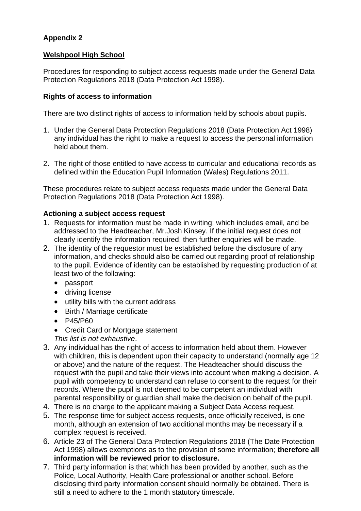## **Appendix 2**

#### **Welshpool High School**

Procedures for responding to subject access requests made under the General Data Protection Regulations 2018 (Data Protection Act 1998).

#### **Rights of access to information**

There are two distinct rights of access to information held by schools about pupils.

- 1. Under the General Data Protection Regulations 2018 (Data Protection Act 1998) any individual has the right to make a request to access the personal information held about them.
- 2. The right of those entitled to have access to curricular and educational records as defined within the Education Pupil Information (Wales) Regulations 2011.

These procedures relate to subject access requests made under the General Data Protection Regulations 2018 (Data Protection Act 1998).

#### **Actioning a subject access request**

- 1. Requests for information must be made in writing; which includes email, and be addressed to the Headteacher, Mr.Josh Kinsey. If the initial request does not clearly identify the information required, then further enquiries will be made.
- 2. The identity of the requestor must be established before the disclosure of any information, and checks should also be carried out regarding proof of relationship to the pupil. Evidence of identity can be established by requesting production of at least two of the following:
	- passport
	- driving license
	- utility bills with the current address
	- Birth / Marriage certificate
	- P45/P60
	- Credit Card or Mortgage statement
	- *This list is not exhaustive*.
- 3. Any individual has the right of access to information held about them. However with children, this is dependent upon their capacity to understand (normally age 12 or above) and the nature of the request. The Headteacher should discuss the request with the pupil and take their views into account when making a decision. A pupil with competency to understand can refuse to consent to the request for their records. Where the pupil is not deemed to be competent an individual with parental responsibility or guardian shall make the decision on behalf of the pupil.
- 4. There is no charge to the applicant making a Subject Data Access request.
- 5. The response time for subject access requests, once officially received, is one month, although an extension of two additional months may be necessary if a complex request is received.
- 6. Article 23 of The General Data Protection Regulations 2018 (The Date Protection Act 1998) allows exemptions as to the provision of some information; **therefore all information will be reviewed prior to disclosure.**
- 7. Third party information is that which has been provided by another, such as the Police, Local Authority, Health Care professional or another school. Before disclosing third party information consent should normally be obtained. There is still a need to adhere to the 1 month statutory timescale.